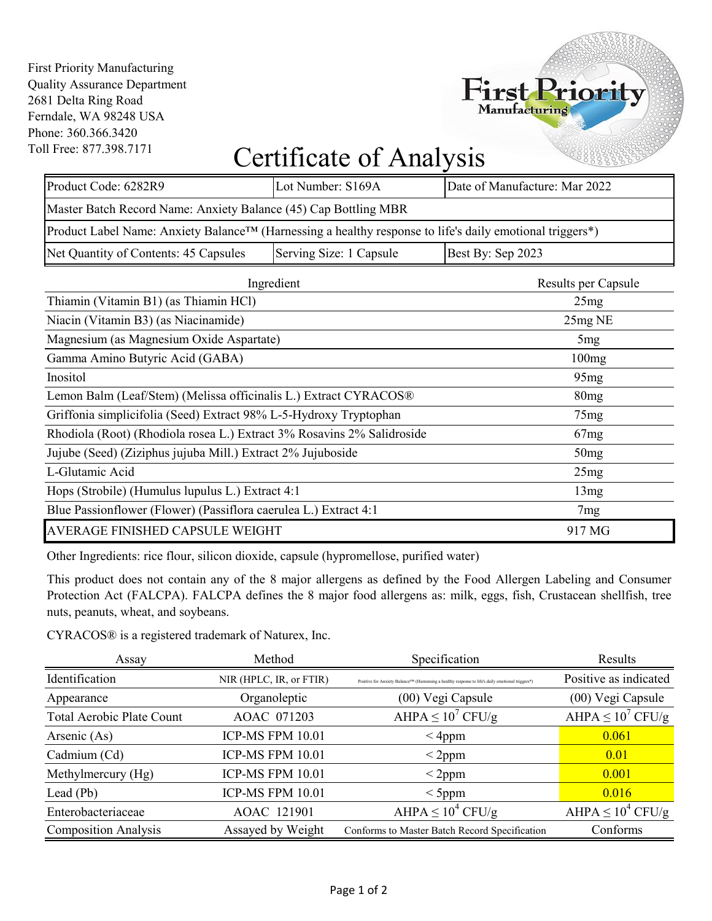First Priority Manufacturing Quality Assurance Department 2681 Delta Ring Road Ferndale, WA 98248 USA Phone: 360.366.3420 Toll Free: 877.398.7171

## Certificate of Analysis

First Priority

| Product Code: 6282R9                                                                                     | Lot Number: S169A | Date of Manufacture: Mar 2022 |  |  |  |  |
|----------------------------------------------------------------------------------------------------------|-------------------|-------------------------------|--|--|--|--|
| Master Batch Record Name: Anxiety Balance (45) Cap Bottling MBR                                          |                   |                               |  |  |  |  |
| Product Label Name: Anxiety Balance™ (Harnessing a healthy response to life's daily emotional triggers*) |                   |                               |  |  |  |  |
| Serving Size: 1 Capsule<br>Net Quantity of Contents: 45 Capsules<br>Best By: Sep 2023                    |                   |                               |  |  |  |  |
|                                                                                                          |                   |                               |  |  |  |  |

| Ingredient                                                             | Results per Capsule |
|------------------------------------------------------------------------|---------------------|
| Thiamin (Vitamin B1) (as Thiamin HCl)                                  | 25mg                |
| Niacin (Vitamin B3) (as Niacinamide)                                   | 25mg NE             |
| Magnesium (as Magnesium Oxide Aspartate)                               | 5mg                 |
| Gamma Amino Butyric Acid (GABA)                                        | 100mg               |
| Inositol                                                               | 95mg                |
| Lemon Balm (Leaf/Stem) (Melissa officinalis L.) Extract CYRACOS®       | 80mg                |
| Griffonia simplicifolia (Seed) Extract 98% L-5-Hydroxy Tryptophan      | 75mg                |
| Rhodiola (Root) (Rhodiola rosea L.) Extract 3% Rosavins 2% Salidroside | 67mg                |
| Jujube (Seed) (Ziziphus jujuba Mill.) Extract 2% Jujuboside            | 50mg                |
| L-Glutamic Acid                                                        | 25mg                |
| Hops (Strobile) (Humulus lupulus L.) Extract 4:1                       | 13mg                |
| Blue Passionflower (Flower) (Passiflora caerulea L.) Extract 4:1       | 7mg                 |
| AVERAGE FINISHED CAPSULE WEIGHT                                        | 917 MG              |

Other Ingredients: rice flour, silicon dioxide, capsule (hypromellose, purified water)

This product does not contain any of the 8 major allergens as defined by the Food Allergen Labeling and Consumer Protection Act (FALCPA). FALCPA defines the 8 major food allergens as: milk, eggs, fish, Crustacean shellfish, tree nuts, peanuts, wheat, and soybeans.

CYRACOS® is a registered trademark of Naturex, Inc.

| Assay                            | Method                  | Specification                                                                                     | Results                |
|----------------------------------|-------------------------|---------------------------------------------------------------------------------------------------|------------------------|
| Identification                   | NIR (HPLC, IR, or FTIR) | Positive for Anxiety Balance™ (Harnessing a healthy response to life's daily emotional triggers*) | Positive as indicated  |
| Appearance                       | Organoleptic            | (00) Vegi Capsule                                                                                 | (00) Vegi Capsule      |
| <b>Total Aerobic Plate Count</b> | AOAC 071203             | AHPA $\leq 10^7$ CFU/g                                                                            | AHPA $\leq 10^7$ CFU/g |
| Arsenic (As)                     | <b>ICP-MS FPM 10.01</b> | $<$ 4ppm                                                                                          | 0.061                  |
| Cadmium (Cd)                     | <b>ICP-MS FPM 10.01</b> | $<$ 2ppm                                                                                          | 0.01                   |
| Methylmercury (Hg)               | <b>ICP-MS FPM 10.01</b> | $<$ 2ppm                                                                                          | 0.001                  |
| Lead (Pb)                        | <b>ICP-MS FPM 10.01</b> | $<$ 5ppm                                                                                          | 0.016                  |
| Enterobacteriaceae               | AOAC 121901             | AHPA $\leq 10^4$ CFU/g                                                                            | AHPA $\leq 10^4$ CFU/g |
| <b>Composition Analysis</b>      | Assayed by Weight       | Conforms to Master Batch Record Specification                                                     | Conforms               |